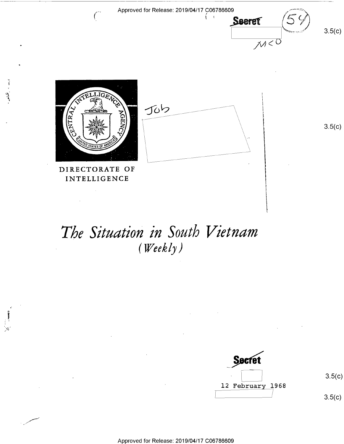

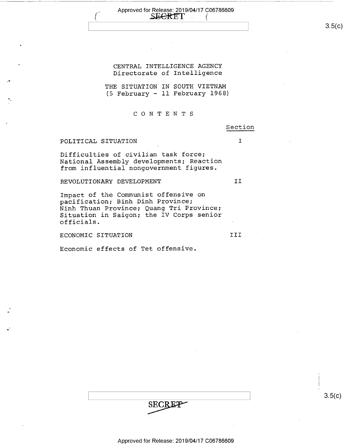### Approved for Release: 2019/04/17 C06786609<br>SECRET ( SEGRET

 $3.5(c)$ 

## CENTRAL INTELLIGENCE AGENCY Directorate of Intelligence

THE SITUATION IN SOUTH VIETNAM (5 February — ll February 1968)

### C O N T E N .T S

### Section

## POLITICAL SITUATION I

Difficulties of civilian task force; National Assembly developments; Reaction from influential nongovernment figures.

REVOLUTIONARY DEVELOPMENT **II** 

Impact of the Communist offensive on pacification; Binh Dinh Province; Ninh Thuan Province; Quang Tri Province; Situation in Saigon; the IV Corps senior officials. <sup>~</sup>

ECONOMIC SITUATION III

Economic effects of Tet offensive.

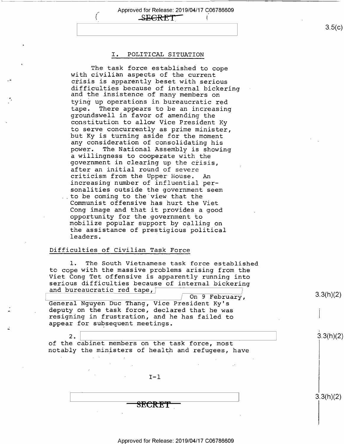,\_ Approved for Release: 2019/04/17 C06786609 **SEGRET** 

### I. POLITICAL SITUATION

The task force established to cope with civilian aspects of the current crisis is apparently beset with serious difficulties because of internal bickering and the insistence of many members on tying up operations in bureaucratic red<br>tape. There appears to be an increasing groundswell in favor of amending the constitution to allow Vice President Ky<br>to serve concurrently as prime minister. but Ky is turning aside for the moment any consideration of consolidating his power. The National Assembly is showing<br>a willingness to cooperate with the government in clearing up the crisis, after an initial round of severe criticism from the Upper House. An increasing number of influential personalities outside the government seem<br>. to be coming to the view that the Communist offensive has hurt the Viet Cong image and that it provides a good<br>opportunity for the government to mobilize popular support by calling on the assistance of prestigious political leaders.

## Difficulties of Civilian Task Force

 $2.$ 

n

.u

-

1. The South Vietnamese task force established<br>to cope with the massive problems arising from the Viet Cong Tet offensive is apparently running into serious difficulties because of internal bickering and bureaucratic red tape,  $\frac{1}{2}$ 

On 9 February,<br>General Nguyen Duc Thang, Vice President Ky's<br>deputy on the task force, declared that he was resigning in frustration, and he has failed to appear for subsequent meetings.

of the cabinet members on the task force, most notably the ministers of health and refugees, have

 $I-1$ 

 $\overline{\text{SECRET}}$ 

Approved for Release: 2019/04/17 C06786609

 $3.5(c)$ 

3.3(h)(2)

3.3(h)(2)

3.3(h)(2)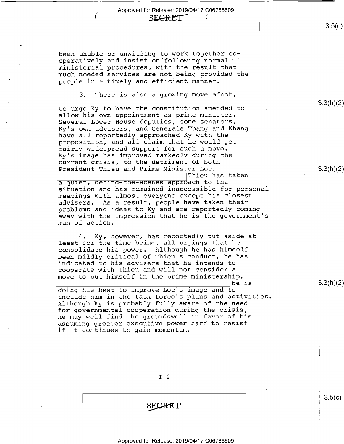## SECRET<sub>"</sub>

been unable or unwilling to work together cooperatively and insist on following normal: ministerial procedures, with the result that much needed services are not being provided the people in a timely and efficient manner.

3. There is also a growing move afoot,

to urge Ky to have the constitution amended to allow his own appointment as prime minister. Several Lower House deputies, some senators, Ky's own advisers, and Generals Thang and Khang have all reportedly approached Ky with the proposition, and all claim that he would get fairly widespread support for such a move. Ky's image has improved markedly during the current crisis, to the detriment of both President Thieu and Prime Minister Loc. Thieu has taken a quiet, behind—the-scenes approach to the

situation and has remained inaccessible for personal meetings with almost everyone except his closest advisers. As a result, people have taken their problems and ideas to Ky and are reportedly coming away with the impression that he is the government's man of action.

4. Ky, however, has reportedly put aside at least for the time being, all urgings that he consolidate his power. Although he has himself been mildly critical of Thieu's conduct, he has indicated to his advisers that he intends to cooperate with Thieu and will not consider a move to put himself in the prime ministership.

doing his best to improve Loc's image and to include him in the task force's plans and activities Although Ky is probably fully aware of the need for governmental cooperation during the crisis, he may well find the groundswell in favor of his assuming greater executive power hard to resist if it continues to gain momentum.

\he is

SECRET

3.3(h)(2)

 $3.5(c)$ 

3.3(h)(2)

3.3(h)(2)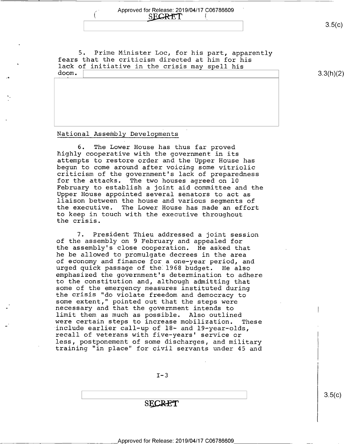- Approved for Release: 2019/04/17 C06786609 ' 1. SECRET

 $3.5(c)$ 

5. Prime Minister Loc, for his part, apparently<br>fears that the criticism directed at him for his<br>' lack of initiative in the crisis may spell his doom.

3.3(h)(2)

 $3.5(c)$ 

### National Assembly Developments

.-

6. The Lower House has thus far proved highly cooperative with the government in its attempts to restore order and the Upper House has<br>begun to come around after voicing some vitriolic criticism of the government's lack of preparedness<br>for the attacks. The two houses agreed on 10 for the attacks. The two houses agreed on 10<br>February to establish a joint aid committee and the Upper House appointed several senators to act as liaison between the house and various segments of the executive. The Lower House has made an effort to keep in touch with the executive throughout the crisis.

7. President Thieu addressed a joint session of the assembly on 9 February and appealed for the assembly's close cooperation. He asked that he be allowed to promulgate decrees in the area of economy and finance for a one—year period, and urged quick passage of the 1968 budget. He also emphasized the government's determination to adhere to the constitution and, although admitting that some of the emergency measures instituted during<br>the crisis "do violate freedom and democracy to some extent," pointed out that the steps were necessary and that the government intends to<br>limit them as much as possible. Also outlined were certain steps to increase mobilization. These<br>include earlier call-up of 18- and 19-year-olds,<br>recall of veterans with five-years' service or<br>less, postponement of some discharges, and military training "in place" for civil servants under 45 and

 $I-3$ 

**SECRET**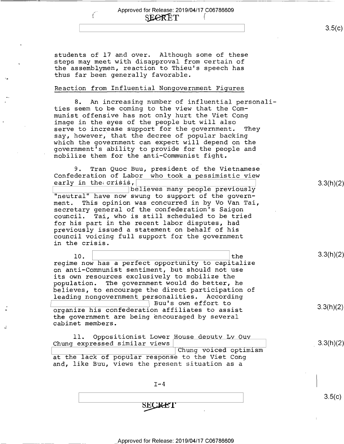$\overline{\phantom{a}}$  , ...  $\overline{\phantom{a}}$  , ...  $\overline{\phantom{a}}$  , ...  $\overline{\phantom{a}}$  , ...  $\overline{\phantom{a}}$  , ...  $\overline{\phantom{a}}$  , ...  $\overline{\phantom{a}}$  , ...  $\overline{\phantom{a}}$  , ...  $\overline{\phantom{a}}$  , ...  $\overline{\phantom{a}}$  , ...  $\overline{\phantom{a}}$  , ...  $\overline{\phantom{a}}$  , ...  $\overline{\$ 

students of 17 and over. Although some of these steps may meet with disapproval from certain of the assemblymen, reaction to Thieu's speech has thus far been generally favorable.

### Reaction from Influential Nongovernment Figures

8. An increasing number of influential personalities seem to be coming to the view that the Communist offensive has not only hurt the Viet Cong image in the eyes of the people but will also serve to increase support for the government. They say, however, that the decree of popular backing<br>which the government can expect will depend on the government's ability to provide for the people and mobilize them for the anti-Communist fight.

9. Tran Quoc Buu, president of the Vietnamese Confederation of Labor who took a pessimistic view<br>early in the crisis,

 $\frac{1}{\mathsf{e}}$   $\frac{1}{\mathsf{e}}$  3.3(h)(2) "neutral" have now swung to support of the government. This opinion was concurred in by Vo Van Tai, secretary general of the confederation's Saigon council. Tai, who is still scheduled to be tried for his part in the recent labor disputes, had previously issued a statement on behalf of his council voicing full support for the government in the crisis.

 $10. \begin{array}{ccc} \hline \end{array}$ regime now has a perfect opportunity to capitalize on anti-Communist sentiment, but should not use its own resources exclusively to mobilize the population. The government would do better, he believes, to encourage the direct participation of leading nongovernment personalities. According Buu's own effort to  $\overline{\text{organize his confederation affiliates to assist}}$  3.3(h)(2) the government are being encouraged by several cabinet members.

11. Oppositionist Lower House deputy Ly Ouy Chung expressed similar views' \ \_3XXhX2) Chung voiced optimism at the lack of popular response to the Viet Cong and, like Buu, views the present situation as a

 $1 - 4$ 

 $\begin{bmatrix} \overline{\phantom{0}} & \overline{\phantom{0}} & \overline{\phantom{0}} & \overline{\phantom{0}} & \overline{\phantom{0}} & \overline{\phantom{0}} & \overline{\phantom{0}} & \overline{\phantom{0}} & \overline{\phantom{0}} & \overline{\phantom{0}} & \overline{\phantom{0}} & \overline{\phantom{0}} & \overline{\phantom{0}} & \overline{\phantom{0}} & \overline{\phantom{0}} & \overline{\phantom{0}} & \overline{\phantom{0}} & \overline{\phantom{0}} & \overline{\phantom{0}} & \overline{\phantom{0}} & \overline{\phantom{0}} & \overline{\$ SECRET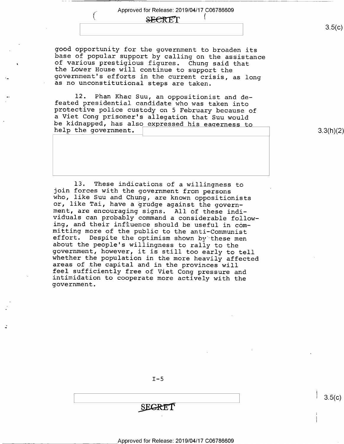## SECRET<sub>I</sub>

good opportunity for the government to broaden its<br>base of popular support by calling on the assistance<br>of various prestigious figures. Chung said that<br>the Lower House will continue to support the<br>government's efforts in t

-1

l2. Phan Khac Suu, an oppositionist and de- feated presidential candidate who was taken into protective police custody on 5 February because of a Viet Cong prisoner's allegation that Suu would<br>be kidnapped, has also expressed his eagerness to<br>help the government.

3.3(h)(2)

13. These indications of a willingness to<br>join forces with the government from persons<br>who, like Suu and Chung, are known oppositionists<br>or, like Tai, have a grudge against the government, are encouraging signs. All of these indi-<br>viduals can probably command a considerable follow-<br>ing, and their influence should be useful in committing more of the public to the anti-Communist<br>effort. Despite the optimism shown by these men<br>about the people's willingness to rally to the<br>government, however, it is still too early to tell<br>whether the population in t

 $I-5$ 

 $\overline{\phantom{a}}$  . The contract of the contract of the contract of the contract of the contract of the contract of the contract of the contract of the contract of the contract of the contract of the contract of the contract of **SEGRET** 

 $3.5(c)$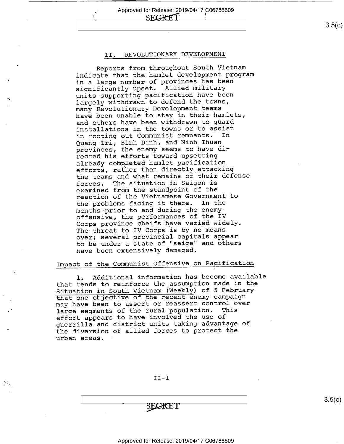,\_,.. Approved for Release: 2019/04/17 C06786609 SECRET<sub></sub>

### II. REVOLUTIONARY DEVELOPMENT

Reports from throughout South Vietnam indicate that the hamlet development program in a large number of provinces has been significantly upset. Allied military units supporting pacification have been largely withdrawn to defend the towns, many Revolutionary Development teams have been unable to stay in their hamlets, and others have been withdrawn to guard installations in the towns or to assist<br>in rooting out Communist remnants. In in rooting out Communist remnants. Quang Tri, Binh Dinh, and Ninh Thuan provinces, the enemy seems to have directed his efforts toward upsetting already completed hamlet pacification efforts, rather than directly attacking the teams and what remains of their defense forces. The situation in Saigon is examined from the standpoint of the reaction of the Vietnamese Government to the problems facing it there. In the months-prior to and during the enemyoffensive, the performances of the IV Corps province cheifs have varied widely. The threat to IV Corps is by no means over; several provincial capitals appear to be under a state of "seige" and others have been extensively damaged.

## Impact of the Communist Offensive on Pacification

l. Additional information has become available that tends to reinforce the assumption made in the Situation in South Vietnam (Weekly) of 5 February that one objective of the recent enemy campaign may have been to assert or reassert control over<br>large seqments of the rural population. This large segments of the rural population. effort appears to have involved the use of guerrilla and district units taking advantage of the diversion of allied forces to protect the urban areas. '

II—l

SECRET

 $3.5(c)$ 

 $\vert$  s.5(c)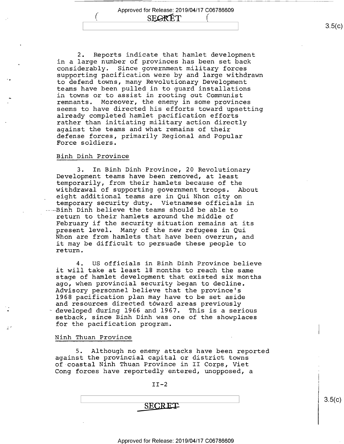$\overline{\cdot}$ 

SE**GRET** 

2. Reports indicate that hamlet development in a large number of provinces has been set back<br>considerably. Since government military forces supporting pacification were by and large withdrawn to defend towns, many Revolutionary Development teams have been pulled in to guard installations in towns or to assist in rooting out Communist remnants. Moreover, the enemy in some provinces seems to have directed his efforts toward upsetting already completed hamlet pacification efforts rather than initiating military action directly against the teams and what remains of their defense forces, primarily Regional and Popular Force soldiers.

### Binh Dinh Province

a

<.

3. In Binh Dinh Province, 20 Revolutionary Development teams have been removed, at least temporarily, from their hamlets because of the<br>withdrawal of supporting government troops. About withdrawal of supporting government troops. eight additional teams are in Qui Nhon city on temporary security duty. Vietnamese officials in .~Binh Dinh believe the teams should be able to return to their hamlets around the middle of February if the security situation remains at its<br>present level. Many of the new refugees in Qui Nhon are from hamlets that have been overrun, and it may be difficult to persuade these people to return.

4. US officials in Binh Dinh Province believe it will take at least l8 months to reach the same stage of hamlet development that existed six months ago, when provincial security began to decline. Advisory personnel believe that the province's 1968 pacification plan may have to be set aside and resources directed toward areas previously <sup>~</sup>developed during 1966 and 1967. This is a serious setback, since Binh Dinh was one of the showplaces for the pacification program.

### Ninh Thuan Province

5. Although no enemy attacks have been reported against the provincial capital or district towns of coastal Ninh Thuan Province in II Corps, Viet Cong forces have reportedly entered, unopposed, a

 $II-2$ 

\ \  $-$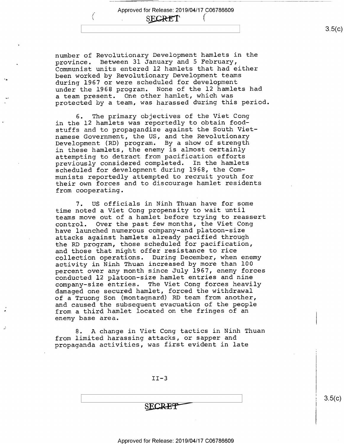SECRET

 $\ell_-$ 

number of Revolutionary Development hamlets in the province. Between 31 January and 5 February, Communist units entered l2 hamlets that had either been worked by Revolutionary Development teams during 1967 or were scheduled for development under the 1968 program. None of the l2 hamlets had a team present. One other hamlet, which was protected by a team, was harassed during this period.

The primary objectives of the Viet Cong in the 12 hamlets was reportedly to obtain foodstuffs and to propagandize against the South Vietnamese Government, the US, and the Revolutionary Development (RD) program. By a show of strength in these hamlets, the enemy is almost certainly attempting to detract from pacification efforts previously considered completed. In the hamlets scheduled for development during 1968, the Communists reportedly attempted to recruit youth for their own forces and to discourage hamlet residents from cooperating.

7. US officials in Ninh Thuan have for some time noted a Viet Cong propensity to wait until teams move out of a hamlet before trying to reassert control. Over the past few months, the Viet Cong Over the past few months, the Viet Cong have launched numerous company-and platoon-size attacks against hamlets already pacified through the RD program, those scheduled for pacification, and those that might offer resistance to rice collection operations. During December, when enemy activity in Ninh Thuan increased by more than 100 percent over any month since July 1967, enemy forces conducted l2 platoon-size hamlet entries and nine company—size entries. The Viet Cong forces heavily damaged one secured hamlet, forced the withdrawal of a Truong Son (montagnard) RD team from another, and caused the subsequent evacuation of the people from a third hamlet located on the fringes of an enemy base area.

8. A change in Viet Cong tactics in Ninh Thuan from limited harassing attacks, or sapper and propaganda activities, was first evident in late

n

 $II-3$ 

SECRET

 $3.5(c)$ 

Approved for Release: 2019/04/17 C06786609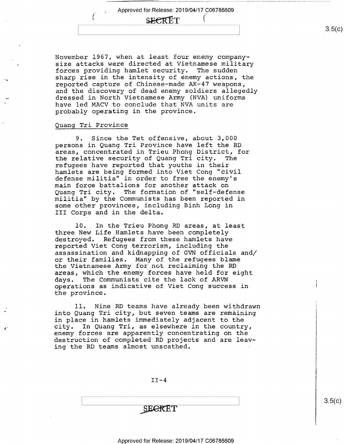# **SECRET**

November 1967, when at least four enemy companysize attacks were directed at Vietnamese military forces providing hamlet security. The sudden sharp rise in the intensity of enemy actions, the reported capture of Chinese—made AK—47 weapons, and the discovery of dead enemy soldiers allegedly dressed in North Vietnamese Army (NVA) uniforms have led MACV to conclude that NVA units are probably operating in the province.

### Quang Tri Province

l

9. Since the Tet offensive, about 3,000 persons in Quang Tri Province have left the RD areas, concentrated in Trieu Phong District, for the relative security of Quang Tri city. The refugees have reported that youths in their hamlets are being formed into Viet Cong "civil defense militia" in order to free the enemy's main force battalions for another attack on Quang Tri city. The formation of "self—defense militia" by the Communists has been reported in some other provinces, including Binh Long in III Corps and in the delta.

l0. In the Trieu Phong RD areas, at least three New Life Hamlets have been completely destroyed. Refugees from these hamlets have reported Viet Cong terrorism, including the assassination and kidnapping of GVN officials and/ or their families. Many of the refugees blame the Vietnamese Army for not reclaiming the RD areas, which the enemy forces have held for eight days. The Communists cite the lack of ARVN operations as indicative of Viet Cong success in the province.

ll. Nine RD teams have already been withdrawn into Quang Tri city, but seven teams are remaining in place in hamlets immediately adjacent to the city. In Quang Tri, as elsewhere in the country, enemy forces are apparently concentrating on the destruction of completed RD projects and are leaving the RD teams almost unscathed.

 $II-4$ 

**SEGRET** 

 $3.5(c)$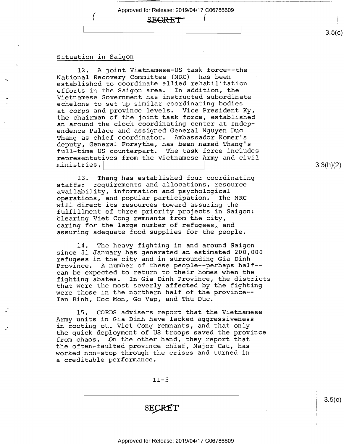SEGRET<sup>-</sup>

### Situation in Saigon

12. A joint Vietnamese-US task force--the National Recovery Committee (NRC)--has been established to coordinate allied rehabilitation efforts in the Saigon area. In addition, the Vietnamese Government has instructed subordinate echelons to set up similar coordinating bodies at corps and province levels. Vice President Ky, the chairman of the joint task force, established an around—the—clock coordinating center at Independence Palace and assigned General Nguyen Duc Thang as chief coordinator. Ambassador Komer's deputy, General Forsythe, has been named Thang's full—time US counterpart. The task force includes representatives from the Vietnamese Army and civil ministries,\ \

13. Thang has established four coordinating<br>staffs: requirements and allocations, resource requirements and allocations, resource availability, information and psychological operations, and popular participation. will direct its resources toward assuring the fulfillment of three priority projects in Saigon: clearing Viet Cong remnants from the city, caring for the large number of refugees, and assuring adequate food supplies for the people.

l4. The heavy fighting in and around Saigon since 31 January has generated an estimated 200,000 refugees in the city and in surrounding Gia Dinh Province. A number of these people——perhaps half- can be expected to return to their homes when the fighting abates. In Gia Dinh Province, the districts that were the most severly affected by the fighting were those in the northern half of the province-- Tan Binh, Hoc Mon, Go Vap, and Thu Duc.

l5. CORDS advisers report that the Vietnamese Army units in Gia Dinh have lacked aggressiveness in rooting out Viet Cong remnants, and that only the quick deployment of US troops saved the province from chaos. On the other hand, they report that the often-faulted province chief, Major Cau, has worked non-stop through the crises and turned in a creditable performance.

 $II-5$ 

SECRET

3.3(h)(2)

s.5(¢)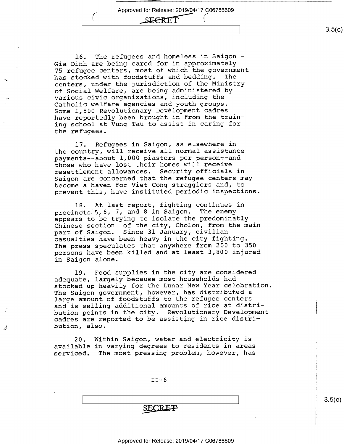# SEERT!

l6. The refugees and homeless in Saigon — Gia Dinh are being cared for in approximately 75 refugee centers, most of which the government has stocked with foodstuffs and bedding. The centers, under the jurisdiction of the Ministry of Social Welfare, are being administered by various civic organizations, including the Catholic welfare agencies and youth groups. Some l,500 Revolutionary Development cadres have reportedly been brought in from the training school at Vung Tau to assist in caring for the refugees.

l7. Refugees in Saigon, as elsewhere in the country, will receive all normal assistance payments--about 1,000 piasters per person--and those who have lost their homes will receive resettlement allowances. Security officials in Saigon are concerned that the refugee centers may become a haven for Viet Cong stragglers and, to prevent this, have instituted periodic inspections.

l8. At last report, fighting continues in precincts 5, 6, 7, and 8 in Saigon. The enemy appears to be trying to isolate the predominatly Chinese section of the city, Cholon, from the main part of Saigon. Since 31 January, civilian casualties have been heavy in the city fighting.' The press speculates that anywhere from 200 to 350 persons have been killed and at least 3,800 injured in Saigon alone.

l9. Food supplies in the city are considered adequate, largely because most households had stocked up heavily for the Lunar New Year celebration The Saigon government, however, has distributed a large amount of foodstuffs to the refugee centers and is selling additional amounts of rice at distribution points in the city. Revolutionary Development cadres are reported to be assisting in rice distribution, also.

20. Within Saigon, water and electricity is available in varying degrees to residents in areas serviced. The most pressing problem, however, has

.

 $II-6$ 

**SECRE<del>T</del>** 

#### Approved for Release: 2019/04/17 C06786609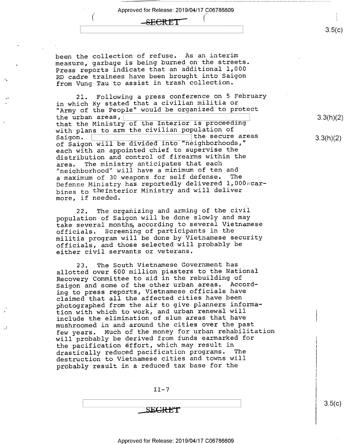## ( \_s.eeR-ET' 'Ta

been the collection of refuse. As an interim measure, garbage is being burned on the streets. Press reports indicate that an additional 1,000 RD cadre trainees have been brought into Saigon from Vung-Tau to assist in trash collection.

21. Following a press conference on 5 February in which Ky stated that a civilian militia or "Army of the People" would be organized to protect<br>the urban areas, the urban areas,  $\boxed{\phantom{a} \phantom{a} \phantom{a}}$ that the Ministry of the Interior is proceeding with plans to arm the civilian population of  $Saiqon.$ Saigon. \ 'the secure areas of Saigon will be divided into "neighborhoods," each with an appointed chief to supervise the distribution and control of firearms within the<br>area. The ministry anticipates that each The ministry anticipates that each "neighborhood" will have a minimum of ten and a maximum of 30 weapons for self defense. Defense Ministry has reportedly delivered 1,000 carbineg to thelnterior Ministry and will deliver more, if needed.

22. The organizing and arming of the civil population of Saigon will be done slowly and may take several months, according to several Vietnamese officials. Screening of participants in the militia program will be done by Vietnamese security officials, and those selected will probably be either civil servants or veterans.

23. The South Vietnamese Government has allotted over 600 million piasters to the National Recovery Committee to aid in the rebuilding of Saigon and some of the other urban areas. According to press reports, Vietnamese officials have claimed that all the affected cities have been photographed from the air to give planners information with which to work, and urban renewal will include the elimination of slum areas that have mushroomed in and around the cities over the past few years. Much of the money for urban rehabilitation will probably be derived from funds earmarked for the pacification éffort, which may result in<br>drastically reduced pacification programs. The drastically reduced pacification programs. destruction to Vietnamese cities and towns will probably result in a reduced tax base for the

 $II-7$ 

SEGRET

 $3.5(c)$ 

3.3(h)(2)

3.3(h)(2)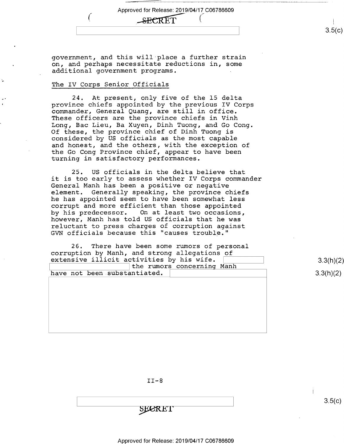government, and this will place a further strain on, and perhaps necessitate reductions in, some additional government programs.

(SECRET

Approved for Release: 2019/04/17 C06786609

### The IV Corps Senior Officials

24. At present, only five of the 15 delta province chiefs appointed by the previous IV Corps commander, General Quang, are still in office. These officers are the province chiefs in Vinh Long, Bac Lieu, Ba Xuyen, Dinh Tuong, and Go Cong.<br>Of these, the province chief of Dinh Tuong is considered by US officials as the most capable and honest, and the others, with the exception of the Go Cong Province chief, appear to have been turning in satisfactory performances.

25. US officials in the delta believe that it is too early to assess whether IV Corps commander General Manh has been a positive or negative<br>element. Generally speaking, the province c Generally speaking, the province chiefs he has appointed seem to have been somewhat less corrupt and more efficient than those appointed by his predecessor. On at least two occasions, however, Manh has told US officials that he was reluctant to press charges of corruption against GVN officials because this "causes trouble."

26. There have been some rumors of personal corruption by Manh, and strong allegations of extensive illicit activities by his wife. [1991] The management of extensive illicit activities by his wife. the rumors concerning Manh

have not been substantiated.  $\vert$  3.3(h)(2)

 $II-8$ 

SECRET

 $3.5(c)$ 

 $\frac{1}{2}$  , s.f., s.f., s.f., s.f., s.f., s.f., s.f., s.f., s.f., s.f., s.f., s.f., s.f., s.f., s.f., s.f., s.f., s.f., s.f., s.f., s.f., s.f., s.f., s.f., s.f., s.f., s.f., s.f., s.f., s.f., s.f., s.f., s.f., s.f., s.f.,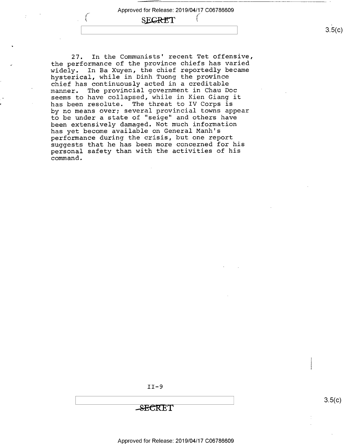# SECRET

27. In the Communists' recent Tet offensive, the performance of the province chiefs has varied widely. In Ba Xuyen, the chief reportedly became hysterical, while in Dinh Tuong the province chief has continuously acted in a creditable<br>manner. The provincial government in Chau De The provincial government in Chau Doc seems to have collapsed, while in Kien Giang it has been resolute. The threat to IV Corps is by no means over; several provincial towns appear to be under a state of "seige" and others have been extensively damaged. Not much information has yet become available on General Manh's performance during the crisis, but one report suggests that he has been more concerned for his personal safety than with the activities of his command.

II-9

'S-E'6'KET

\ \ 8-5<c>

Approved for Release: 2019/04/17 C06786609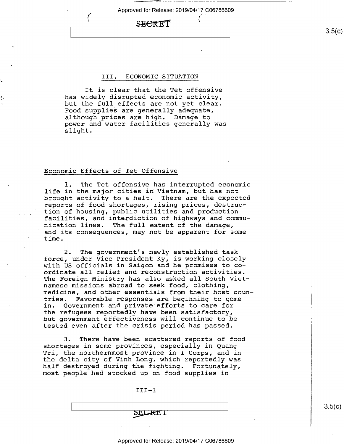## $\Omega$  FOR FTT

### III. ECONOMIC SITUATION

It is clear that the Tet offensive<br>has widely disrupted economic activity, but the full effects are not yet clear. Food supplies are generally adequate, although prices are high. Damage to power and water facilities generally was slight.

### Economic Effects of Tet Offensive

f

1. The Tet offensive has interrupted economic life in the major cities in Vietnam, but has not brought activity to a halt. There are the expected reports of food shortages, rising prices, destruction of housing, public utilities and production facilities, and interdiction of highways and communication lines. The full extent of the damage, and its consequences, may not be apparent for some time.

2. The government's newly established task force, under Vice President Ky, is working closely with US officials in Saigon and he promises to coordinate all relief and reconstruction activities. The Foreign Ministry has also asked all South Vietnamese missions abroad to seek food, clothing, medicine, and other essentials from their host coun-<br>tries. Favorable responses are beginning to come tries. Favorable responses are beginning to come<br>in. Government and private efforts to care for Government and private efforts to care for the refugees reportedly have been satisfactory, but government effectiveness will continue to be tested even after the crisis period has passed.

3. There have been scattered reports of food shortages in some provinces, especially in Quang Tri, the northernmost province in I Corps, and in the delta city of Vinh Long, which reportedly was half destroyed during the fighting. Fortunately, most people had stocked up on food supplies in

III—l

 $3.5(c)$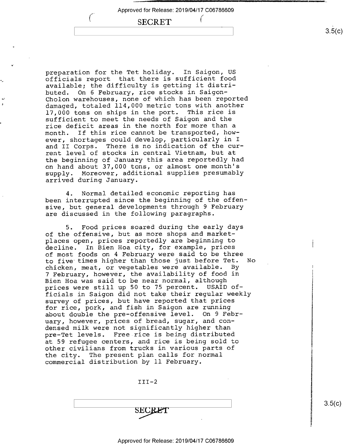/

## **SECRET**

preparation for the Tet holiday. In Saigon, US officials report that there is sufficient food available; the difficulty is getting it distri-<br>buted. On 6 February, rice stocks in Saigon-On 6 February, rice stocks in Saigon-Cholon warehouses, none of which has been reported damaged, totaled 114,000 metric tons with another<br>17,000 tons on ships in the port. This rice is 17,000 tons on ships in the port. sufficient to meet the needs of Saigon and the rice deficit areas in the north for more than a<br>month. If this rice cannot be transported, how If this rice cannot be transported, however, shortages could develop, particularly in <sup>I</sup> and II Corps. There is no indication of the current level of stocks in central Vietnam, but at the beginning of January this area reportedly had on hand about 37,000 tons, or almost one month's Moreover, additional supplies presumably arrived during January.

4. Normal detailed economic reporting has been interrupted since the beginning of the offensive, but general developments through 9 February are discussed in the following paragraphs.

5. Food prices soared during the early days of the offensive, but as more shops and marketplaces open, prices reportedly are beginning to decline. In Bien Hoa city, for example, prices of most foods on 4 February were said to be three<br>to five times higher than those just before Tet. No to five times higher than those just before Tet.<br>chicken, meat, or vegetables were available. By chicken, meat, or vegetables were available. <sup>7</sup>February, however, the availability of food in Bien Hoa was said to be near normal, although<br>prices were still up 50 to 75 percent. USAID ofprices were still up 50 to 75 percent. ficials in Saigon did not take their regular weekly survey of prices, but have reported that prices for rice, pork, and fish in Saigon are running about double the pre—offensive level. On 9 February, however, prices of bread, sugar, and condensed milk were not significantly higher than pre—Tet levels. Free rice is being distributed at 59 refugee centers, and rice is being sold to other civilians from trucks in various parts of the city. The present plan calls for normal commercial distribution by ll February.

 $III-2$ 



 $3.5(c)$